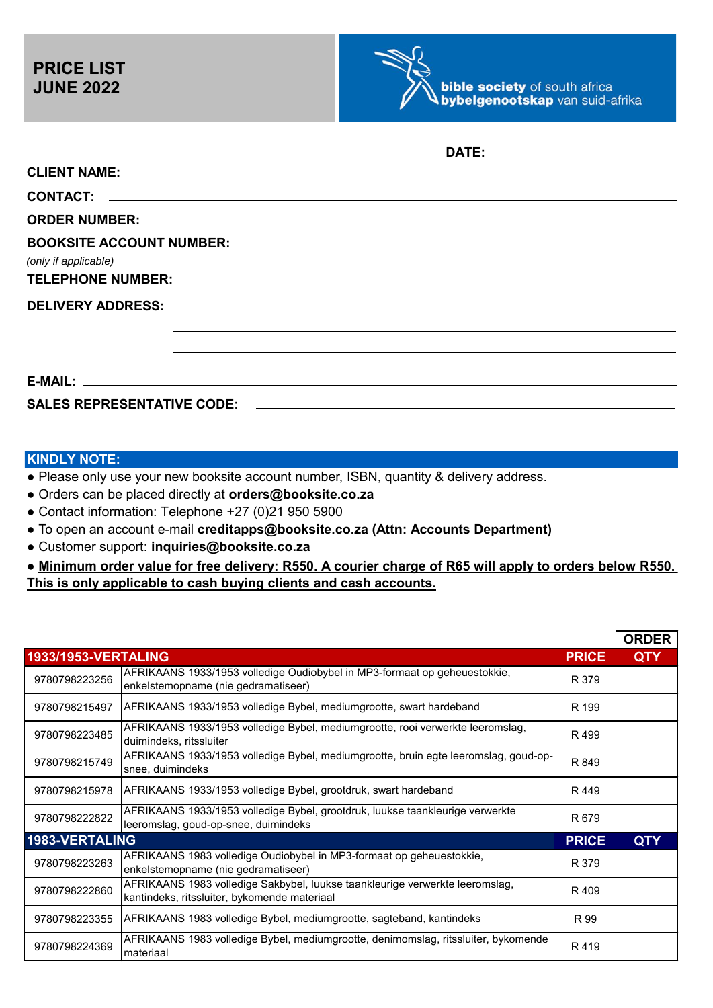

| CLIENT NAME: Later and the contract of the contract of the contract of the contract of the contract of the contract of the contract of the contract of the contract of the contract of the contract of the contract of the con |                                                                                  |
|--------------------------------------------------------------------------------------------------------------------------------------------------------------------------------------------------------------------------------|----------------------------------------------------------------------------------|
|                                                                                                                                                                                                                                |                                                                                  |
|                                                                                                                                                                                                                                |                                                                                  |
|                                                                                                                                                                                                                                |                                                                                  |
| (only if applicable)                                                                                                                                                                                                           |                                                                                  |
|                                                                                                                                                                                                                                |                                                                                  |
|                                                                                                                                                                                                                                |                                                                                  |
|                                                                                                                                                                                                                                | ,我们也不会有什么。""我们的人,我们也不会有什么?""我们的人,我们也不会有什么?""我们的人,我们也不会有什么?""我们的人,我们也不会有什么?""我们的人 |
|                                                                                                                                                                                                                                |                                                                                  |
|                                                                                                                                                                                                                                |                                                                                  |
|                                                                                                                                                                                                                                |                                                                                  |
|                                                                                                                                                                                                                                |                                                                                  |

## **KINDLY NOTE:**

● Please only use your new booksite account number, ISBN, quantity & delivery address.

- Orders can be placed directly at **orders@booksite.co.za**
- Contact information: Telephone +27 (0)21 950 5900
- To open an account e-mail **creditapps@booksite.co.za (Attn: Accounts Department)**
- Customer support: **inquiries@booksite.co.za**

● **Minimum order value for free delivery: R550. A courier charge of R65 will apply to orders below R550. This is only applicable to cash buying clients and cash accounts.**

|                            |                                                                                                                              |              | <b>ORDER</b> |
|----------------------------|------------------------------------------------------------------------------------------------------------------------------|--------------|--------------|
| <b>1933/1953-VERTALING</b> |                                                                                                                              | <b>PRICE</b> | <b>QTY</b>   |
| 9780798223256              | AFRIKAANS 1933/1953 volledige Oudiobybel in MP3-formaat op geheuestokkie,<br>enkelstemopname (nie gedramatiseer)             | R 379        |              |
| 9780798215497              | AFRIKAANS 1933/1953 volledige Bybel, mediumgrootte, swart hardeband                                                          | R 199        |              |
| 9780798223485              | AFRIKAANS 1933/1953 volledige Bybel, mediumgrootte, rooi verwerkte leeromslag,<br>duimindeks, ritssluiter                    | R499         |              |
| 9780798215749              | AFRIKAANS 1933/1953 volledige Bybel, mediumgrootte, bruin egte leeromslag, goud-op-<br>snee, duimindeks                      | R 849        |              |
| 9780798215978              | AFRIKAANS 1933/1953 volledige Bybel, grootdruk, swart hardeband                                                              | R 449        |              |
| 9780798222822              | AFRIKAANS 1933/1953 volledige Bybel, grootdruk, luukse taankleurige verwerkte<br>leeromslag, goud-op-snee, duimindeks        | R 679        |              |
| 1983-VERTALING             |                                                                                                                              | <b>PRICE</b> | <b>QTY</b>   |
| 9780798223263              | AFRIKAANS 1983 volledige Oudiobybel in MP3-formaat op geheuestokkie,<br>enkelstemopname (nie gedramatiseer)                  | R 379        |              |
| 9780798222860              | AFRIKAANS 1983 volledige Sakbybel, luukse taankleurige verwerkte leeromslag,<br>kantindeks, ritssluiter, bykomende materiaal | R 409        |              |
| 9780798223355              | AFRIKAANS 1983 volledige Bybel, mediumgrootte, sagteband, kantindeks                                                         | R 99         |              |
| 9780798224369              | AFRIKAANS 1983 volledige Bybel, mediumgrootte, denimomslag, ritssluiter, bykomende<br>materiaal                              | R419         |              |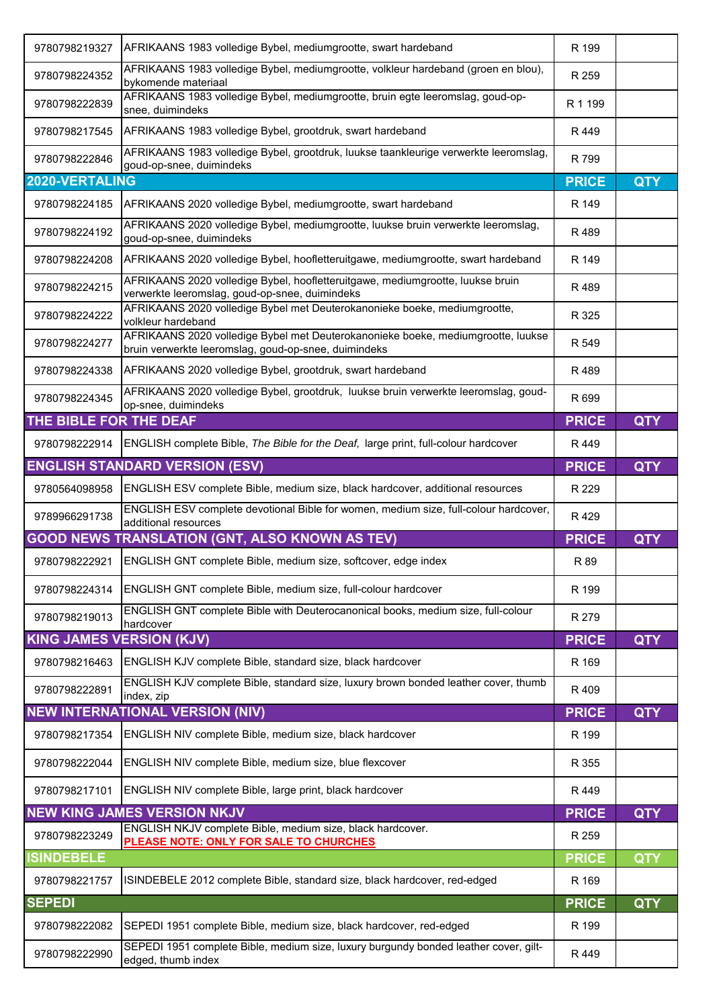| 9780798219327                   | AFRIKAANS 1983 volledige Bybel, mediumgrootte, swart hardeband                                                                           | R 199        |            |
|---------------------------------|------------------------------------------------------------------------------------------------------------------------------------------|--------------|------------|
| 9780798224352                   | AFRIKAANS 1983 volledige Bybel, mediumgrootte, volkleur hardeband (groen en blou),<br>bykomende materiaal                                | R 259        |            |
| 9780798222839                   | AFRIKAANS 1983 volledige Bybel, mediumgrootte, bruin egte leeromslag, goud-op-<br>snee, duimindeks                                       | R 1 199      |            |
| 9780798217545                   | AFRIKAANS 1983 volledige Bybel, grootdruk, swart hardeband                                                                               | R449         |            |
| 9780798222846                   | AFRIKAANS 1983 volledige Bybel, grootdruk, luukse taankleurige verwerkte leeromslag,<br>goud-op-snee, duimindeks                         | R 799        |            |
| 2020-VERTALING                  |                                                                                                                                          | <b>PRICE</b> | <b>QTY</b> |
| 9780798224185                   | AFRIKAANS 2020 volledige Bybel, mediumgrootte, swart hardeband                                                                           | R 149        |            |
| 9780798224192                   | AFRIKAANS 2020 volledige Bybel, mediumgrootte, luukse bruin verwerkte leeromslag,<br>goud-op-snee, duimindeks                            | R489         |            |
| 9780798224208                   | AFRIKAANS 2020 volledige Bybel, hoofletteruitgawe, mediumgrootte, swart hardeband                                                        | R 149        |            |
| 9780798224215                   | AFRIKAANS 2020 volledige Bybel, hoofletteruitgawe, mediumgrootte, luukse bruin<br>verwerkte leeromslag, goud-op-snee, duimindeks         | R 489        |            |
| 9780798224222                   | AFRIKAANS 2020 volledige Bybel met Deuterokanonieke boeke, mediumgrootte,<br>volkleur hardeband                                          | R 325        |            |
| 9780798224277                   | AFRIKAANS 2020 volledige Bybel met Deuterokanonieke boeke, mediumgrootte, luukse<br>bruin verwerkte leeromslag, goud-op-snee, duimindeks | R 549        |            |
| 9780798224338                   | AFRIKAANS 2020 volledige Bybel, grootdruk, swart hardeband                                                                               | R 489        |            |
| 9780798224345                   | AFRIKAANS 2020 volledige Bybel, grootdruk, luukse bruin verwerkte leeromslag, goud-<br>op-snee, duimindeks                               | R 699        |            |
| THE BIBLE FOR THE DEAF          |                                                                                                                                          | <b>PRICE</b> | <b>QTY</b> |
| 9780798222914                   | ENGLISH complete Bible, The Bible for the Deaf, large print, full-colour hardcover                                                       | R 449        |            |
|                                 | <b>ENGLISH STANDARD VERSION (ESV)</b>                                                                                                    | <b>PRICE</b> | <b>QTY</b> |
| 9780564098958                   | ENGLISH ESV complete Bible, medium size, black hardcover, additional resources                                                           | R 229        |            |
| 9789966291738                   | ENGLISH ESV complete devotional Bible for women, medium size, full-colour hardcover,<br>additional resources                             | R429         |            |
|                                 | <b>GOOD NEWS TRANSLATION (GNT, ALSO KNOWN AS TEV)</b>                                                                                    | <b>PRICE</b> | <b>QTY</b> |
| 9780798222921                   | ENGLISH GNT complete Bible, medium size, softcover, edge index                                                                           | R 89         |            |
| 9780798224314                   | ENGLISH GNT complete Bible, medium size, full-colour hardcover                                                                           | R 199        |            |
| 9780798219013                   | ENGLISH GNT complete Bible with Deuterocanonical books, medium size, full-colour<br>hardcover                                            | R 279        |            |
| <b>KING JAMES VERSION (KJV)</b> |                                                                                                                                          | <b>PRICE</b> | <b>QTY</b> |
| 9780798216463                   | ENGLISH KJV complete Bible, standard size, black hardcover                                                                               | R 169        |            |
| 9780798222891                   | ENGLISH KJV complete Bible, standard size, luxury brown bonded leather cover, thumb<br>index, zip                                        | R 409        |            |
|                                 | <b>NEW INTERNATIONAL VERSION (NIV)</b>                                                                                                   | <b>PRICE</b> | <b>QTY</b> |
| 9780798217354                   | ENGLISH NIV complete Bible, medium size, black hardcover                                                                                 | R 199        |            |
| 9780798222044                   | ENGLISH NIV complete Bible, medium size, blue flexcover                                                                                  | R 355        |            |
| 9780798217101                   | ENGLISH NIV complete Bible, large print, black hardcover                                                                                 | R 449        |            |
|                                 | <b>NEW KING JAMES VERSION NKJV</b>                                                                                                       | <b>PRICE</b> | <b>QTY</b> |
| 9780798223249                   | ENGLISH NKJV complete Bible, medium size, black hardcover.<br>PLEASE NOTE: ONLY FOR SALE TO CHURCHES                                     | R 259        |            |
| <b>ISINDEBELE</b>               |                                                                                                                                          | <b>PRICE</b> | <b>QTY</b> |
| 9780798221757                   | ISINDEBELE 2012 complete Bible, standard size, black hardcover, red-edged                                                                | R 169        |            |
| <b>SEPEDI</b>                   |                                                                                                                                          | <b>PRICE</b> | <b>QTY</b> |
| 9780798222082                   | SEPEDI 1951 complete Bible, medium size, black hardcover, red-edged                                                                      | R 199        |            |
| 9780798222990                   | SEPEDI 1951 complete Bible, medium size, luxury burgundy bonded leather cover, gilt-<br>edged, thumb index                               | R 449        |            |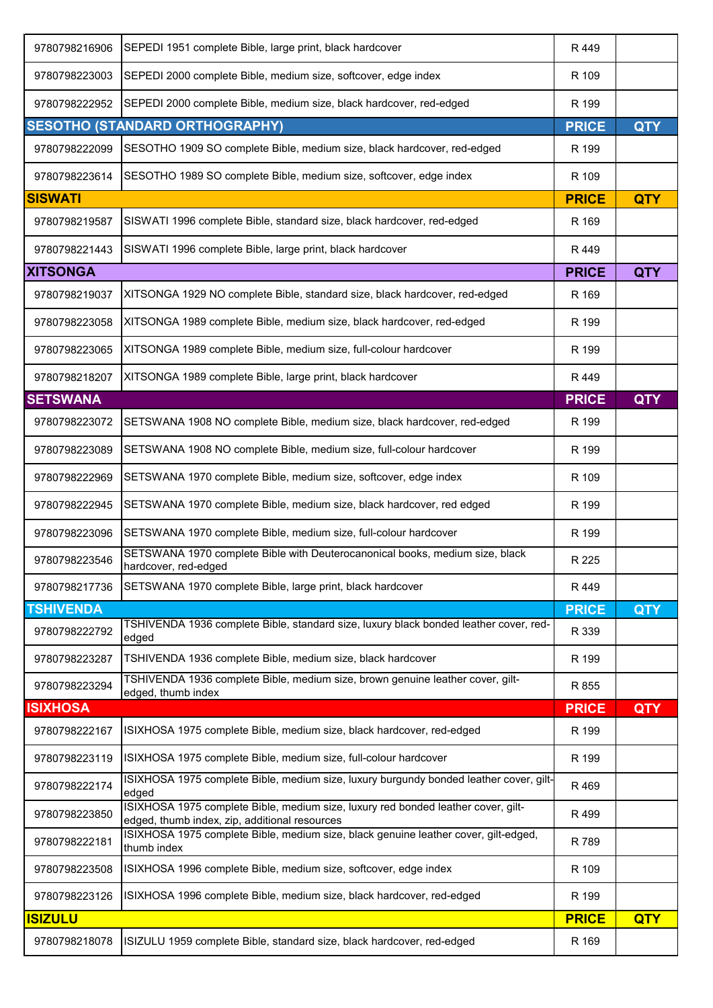| 9780798216906    | SEPEDI 1951 complete Bible, large print, black hardcover                                                                           | R 449        |            |
|------------------|------------------------------------------------------------------------------------------------------------------------------------|--------------|------------|
| 9780798223003    | SEPEDI 2000 complete Bible, medium size, softcover, edge index                                                                     | R 109        |            |
| 9780798222952    | SEPEDI 2000 complete Bible, medium size, black hardcover, red-edged                                                                | R 199        |            |
|                  | <b>SESOTHO (STANDARD ORTHOGRAPHY)</b>                                                                                              | <b>PRICE</b> | <b>QTY</b> |
| 9780798222099    | SESOTHO 1909 SO complete Bible, medium size, black hardcover, red-edged                                                            | R 199        |            |
| 9780798223614    | SESOTHO 1989 SO complete Bible, medium size, softcover, edge index                                                                 | R 109        |            |
| <b>SISWATI</b>   |                                                                                                                                    | <b>PRICE</b> | <b>QTY</b> |
| 9780798219587    | SISWATI 1996 complete Bible, standard size, black hardcover, red-edged                                                             | R 169        |            |
| 9780798221443    | SISWATI 1996 complete Bible, large print, black hardcover                                                                          | R 449        |            |
| <b>XITSONGA</b>  |                                                                                                                                    | <b>PRICE</b> | <b>QTY</b> |
| 9780798219037    | XITSONGA 1929 NO complete Bible, standard size, black hardcover, red-edged                                                         | R 169        |            |
| 9780798223058    | XITSONGA 1989 complete Bible, medium size, black hardcover, red-edged                                                              | R 199        |            |
| 9780798223065    | XITSONGA 1989 complete Bible, medium size, full-colour hardcover                                                                   | R 199        |            |
| 9780798218207    | XITSONGA 1989 complete Bible, large print, black hardcover                                                                         | R 449        |            |
| <b>SETSWANA</b>  |                                                                                                                                    | <b>PRICE</b> | <b>QTY</b> |
| 9780798223072    | SETSWANA 1908 NO complete Bible, medium size, black hardcover, red-edged                                                           | R 199        |            |
| 9780798223089    | SETSWANA 1908 NO complete Bible, medium size, full-colour hardcover                                                                | R 199        |            |
| 9780798222969    | SETSWANA 1970 complete Bible, medium size, softcover, edge index                                                                   | R 109        |            |
| 9780798222945    | SETSWANA 1970 complete Bible, medium size, black hardcover, red edged                                                              | R 199        |            |
| 9780798223096    | SETSWANA 1970 complete Bible, medium size, full-colour hardcover                                                                   | R 199        |            |
| 9780798223546    | SETSWANA 1970 complete Bible with Deuterocanonical books, medium size, black<br>hardcover, red-edged                               | R 225        |            |
| 9780798217736    | SETSWANA 1970 complete Bible, large print, black hardcover                                                                         | R 449        |            |
| <b>TSHIVENDA</b> |                                                                                                                                    | <b>PRICE</b> | <b>QTY</b> |
| 9780798222792    | TSHIVENDA 1936 complete Bible, standard size, luxury black bonded leather cover, red-<br>edged                                     | R 339        |            |
| 9780798223287    | TSHIVENDA 1936 complete Bible, medium size, black hardcover                                                                        | R 199        |            |
| 9780798223294    | TSHIVENDA 1936 complete Bible, medium size, brown genuine leather cover, gilt-<br>edged, thumb index                               | R 855        |            |
| <b>ISIXHOSA</b>  |                                                                                                                                    | <b>PRICE</b> | <b>QTY</b> |
| 9780798222167    | ISIXHOSA 1975 complete Bible, medium size, black hardcover, red-edged                                                              | R 199        |            |
| 9780798223119    | ISIXHOSA 1975 complete Bible, medium size, full-colour hardcover                                                                   | R 199        |            |
| 9780798222174    | ISIXHOSA 1975 complete Bible, medium size, luxury burgundy bonded leather cover, gilt-<br>edged                                    | R 469        |            |
| 9780798223850    | ISIXHOSA 1975 complete Bible, medium size, luxury red bonded leather cover, gilt-<br>edged, thumb index, zip, additional resources | R 499        |            |
| 9780798222181    | ISIXHOSA 1975 complete Bible, medium size, black genuine leather cover, gilt-edged,<br>thumb index                                 | R 789        |            |
| 9780798223508    | ISIXHOSA 1996 complete Bible, medium size, softcover, edge index                                                                   | R 109        |            |
| 9780798223126    | ISIXHOSA 1996 complete Bible, medium size, black hardcover, red-edged                                                              | R 199        |            |
| <b>ISIZULU</b>   |                                                                                                                                    | <b>PRICE</b> | <b>QTY</b> |
| 9780798218078    | ISIZULU 1959 complete Bible, standard size, black hardcover, red-edged                                                             | R 169        |            |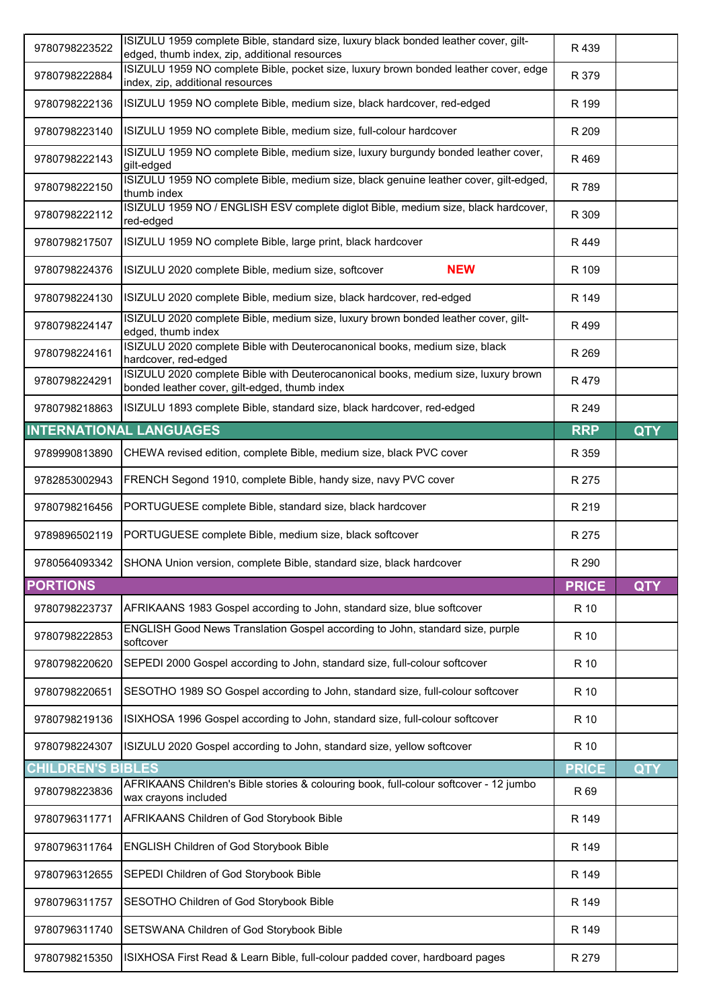| 9780798223522            | ISIZULU 1959 complete Bible, standard size, luxury black bonded leather cover, gilt-<br>edged, thumb index, zip, additional resources | R 439        |            |
|--------------------------|---------------------------------------------------------------------------------------------------------------------------------------|--------------|------------|
| 9780798222884            | ISIZULU 1959 NO complete Bible, pocket size, luxury brown bonded leather cover, edge                                                  | R 379        |            |
| 9780798222136            | index, zip, additional resources<br>ISIZULU 1959 NO complete Bible, medium size, black hardcover, red-edged                           | R 199        |            |
| 9780798223140            | ISIZULU 1959 NO complete Bible, medium size, full-colour hardcover                                                                    | R 209        |            |
| 9780798222143            | ISIZULU 1959 NO complete Bible, medium size, luxury burgundy bonded leather cover,                                                    | R 469        |            |
| 9780798222150            | gilt-edged<br>ISIZULU 1959 NO complete Bible, medium size, black genuine leather cover, gilt-edged,<br>thumb index                    | R 789        |            |
| 9780798222112            | ISIZULU 1959 NO / ENGLISH ESV complete diglot Bible, medium size, black hardcover,<br>red-edged                                       | R 309        |            |
| 9780798217507            | ISIZULU 1959 NO complete Bible, large print, black hardcover                                                                          | R 449        |            |
| 9780798224376            | ISIZULU 2020 complete Bible, medium size, softcover<br><b>NEW</b>                                                                     | R 109        |            |
| 9780798224130            | ISIZULU 2020 complete Bible, medium size, black hardcover, red-edged                                                                  | R 149        |            |
| 9780798224147            | ISIZULU 2020 complete Bible, medium size, luxury brown bonded leather cover, gilt-<br>edged, thumb index                              | R499         |            |
| 9780798224161            | ISIZULU 2020 complete Bible with Deuterocanonical books, medium size, black<br>hardcover, red-edged                                   | R 269        |            |
| 9780798224291            | ISIZULU 2020 complete Bible with Deuterocanonical books, medium size, luxury brown<br>bonded leather cover, gilt-edged, thumb index   | R 479        |            |
| 9780798218863            | ISIZULU 1893 complete Bible, standard size, black hardcover, red-edged                                                                | R 249        |            |
|                          | <b>INTERNATIONAL LANGUAGES</b>                                                                                                        | <b>RRP</b>   | <b>QTY</b> |
| 9789990813890            | CHEWA revised edition, complete Bible, medium size, black PVC cover                                                                   | R 359        |            |
| 9782853002943            | FRENCH Segond 1910, complete Bible, handy size, navy PVC cover                                                                        | R 275        |            |
| 9780798216456            | PORTUGUESE complete Bible, standard size, black hardcover                                                                             | R 219        |            |
| 9789896502119            | PORTUGUESE complete Bible, medium size, black softcover                                                                               | R 275        |            |
| 9780564093342            | SHONA Union version, complete Bible, standard size, black hardcover                                                                   | R 290        |            |
| <b>PORTIONS</b>          |                                                                                                                                       | <b>PRICE</b> | <b>QTY</b> |
| 9780798223737            | AFRIKAANS 1983 Gospel according to John, standard size, blue softcover                                                                | R 10         |            |
| 9780798222853            | ENGLISH Good News Translation Gospel according to John, standard size, purple<br>softcover                                            | R 10         |            |
| 9780798220620            | SEPEDI 2000 Gospel according to John, standard size, full-colour softcover                                                            | R 10         |            |
| 9780798220651            | SESOTHO 1989 SO Gospel according to John, standard size, full-colour softcover                                                        | R 10         |            |
| 9780798219136            | ISIXHOSA 1996 Gospel according to John, standard size, full-colour softcover                                                          | R 10         |            |
| 9780798224307            | ISIZULU 2020 Gospel according to John, standard size, yellow softcover                                                                | R 10         |            |
| <b>CHILDREN'S BIBLES</b> |                                                                                                                                       | <b>PRICE</b> | <b>QTY</b> |
| 9780798223836            | AFRIKAANS Children's Bible stories & colouring book, full-colour softcover - 12 jumbo<br>wax crayons included                         | R 69         |            |
| 9780796311771            | AFRIKAANS Children of God Storybook Bible                                                                                             | R 149        |            |
| 9780796311764            | ENGLISH Children of God Storybook Bible                                                                                               | R 149        |            |
| 9780796312655            | SEPEDI Children of God Storybook Bible                                                                                                | R 149        |            |
| 9780796311757            | SESOTHO Children of God Storybook Bible                                                                                               | R 149        |            |
| 9780796311740            | SETSWANA Children of God Storybook Bible                                                                                              | R 149        |            |
| 9780798215350            | ISIXHOSA First Read & Learn Bible, full-colour padded cover, hardboard pages                                                          | R 279        |            |